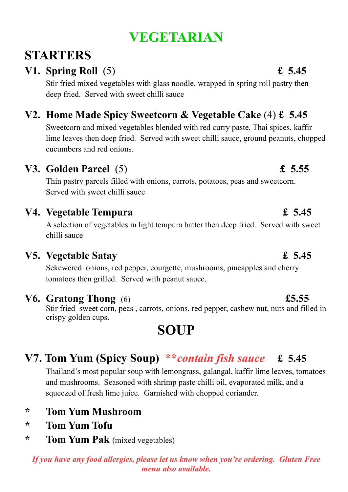# **VEGETARIAN**

# **STARTERS**

# **V1. Spring Roll** (5) **£ 5.45**

Stir fried mixed vegetables with glass noodle, wrapped in spring roll pastry then deep fried. Served with sweet chilli sauce

# **V2. Home Made Spicy Sweetcorn & Vegetable Cake** (4) **£ 5.45**

Sweetcorn and mixed vegetables blended with red curry paste, Thai spices, kaffir lime leaves then deep fried. Served with sweet chilli sauce, ground peanuts, chopped cucumbers and red onions.

## **V3. Golden Parcel** (5) **£ 5.55**

Thin pastry parcels filled with onions, carrots, potatoes, peas and sweetcorn. Served with sweet chilli sauce

## **V4. Vegetable Tempura £ 5.45**

A selection of vegetables in light tempura batter then deep fried. Served with sweet chilli sauce

## **V5. Vegetable Satay £ 5.45**

Sekewered onions, red pepper, courgette, mushrooms, pineapples and cherry tomatoes then grilled. Served with peanut sauce.

### **V6. Gratong Thong** (6) **£5.55**

Stir fried sweet corn, peas , carrots, onions, red pepper, cashew nut, nuts and filled in crispy golden cups.

# **SOUP**

# **V7. Tom Yum (Spicy Soup) \*\****contain fish sauce* **£ 5.45**

Thailand's most popular soup with lemongrass, galangal, kaffir lime leaves, tomatoes and mushrooms. Seasoned with shrimp paste chilli oil, evaporated milk, and a squeezed of fresh lime juice. Garnished with chopped coriander.

- **\* Tom Yum Mushroom**
- **\* Tom Yum Tofu**
- **\* Tom Yum Pak** (mixed vegetables)

#### *If you have any food allergies, please let us know when you're ordering. Gluten Free menu also available.*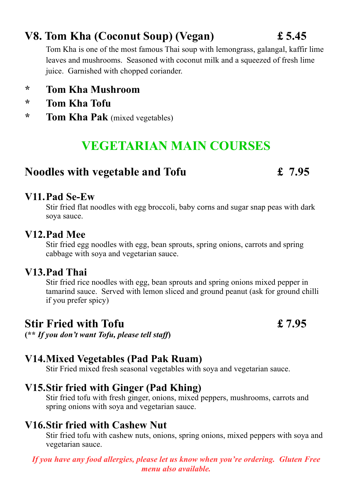# **V8. Tom Kha (Coconut Soup) (Vegan) £ 5.45**

Tom Kha is one of the most famous Thai soup with lemongrass, galangal, kaffir lime leaves and mushrooms. Seasoned with coconut milk and a squeezed of fresh lime juice. Garnished with chopped coriander.

### **\* Tom Kha Mushroom**

- **\* Tom Kha Tofu**
- **\* Tom Kha Pak** (mixed vegetables)

# **VEGETARIAN MAIN COURSES**

## **Noodles with vegetable and Tofu £ 7.95**

#### **V11.Pad Se-Ew**

Stir fried flat noodles with egg broccoli, baby corns and sugar snap peas with dark soya sauce.

#### **V12.Pad Mee**

Stir fried egg noodles with egg, bean sprouts, spring onions, carrots and spring cabbage with soya and vegetarian sauce.

#### **V13.Pad Thai**

Stir fried rice noodles with egg, bean sprouts and spring onions mixed pepper in tamarind sauce. Served with lemon sliced and ground peanut (ask for ground chilli if you prefer spicy)

# **Stir Fried with Tofu £ 7.95**

**(\*\*** *If you don't want Tofu, please tell staff***)**

## **V14.Mixed Vegetables (Pad Pak Ruam)**

Stir Fried mixed fresh seasonal vegetables with soya and vegetarian sauce.

### **V15.Stir fried with Ginger (Pad Khing)**

Stir fried tofu with fresh ginger, onions, mixed peppers, mushrooms, carrots and spring onions with soya and vegetarian sauce.

## **V16.Stir fried with Cashew Nut**

Stir fried tofu with cashew nuts, onions, spring onions, mixed peppers with soya and vegetarian sauce.

*If you have any food allergies, please let us know when you're ordering. Gluten Free menu also available.*